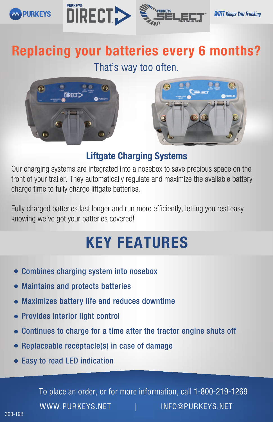





**WATT Keeps You Trucking** 

# Replacing your batteries every 6 months?

## That's way too often.





### Liftgate Charging Systems

Our charging systems are integrated into a nosebox to save precious space on the front of your trailer. They automatically regulate and maximize the available battery charge time to fully charge liftgate batteries.

Fully charged batteries last longer and run more efficiently, letting you rest easy knowing we've got your batteries covered!

# KEY FEATURES

- Combines charging system into nosebox
- Maintains and protects batteries
- Maximizes battery life and reduces downtime
- Provides interior light control
- Continues to charge for a time after the tractor engine shuts off
- Replaceable receptacle(s) in case of damage
- Easy to read LED indication

To place an order, or for more information, call 1-800-219-1269 WWW.PURKEYS.NET | INFO@PURKEYS.NET